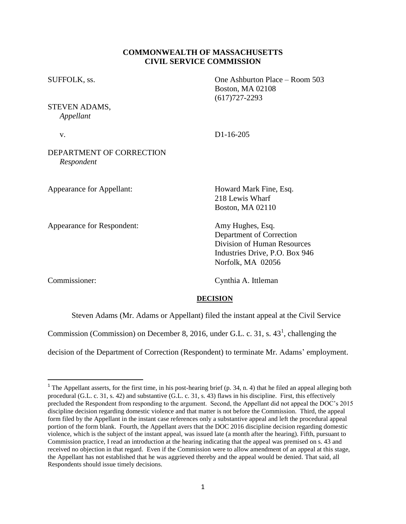## **COMMONWEALTH OF MASSACHUSETTS CIVIL SERVICE COMMISSION**

| SUFFOLK, ss.<br>STEVEN ADAMS,<br>Appellant | One Ashburton Place - Room 503<br><b>Boston, MA 02108</b><br>$(617)727 - 2293$                                                     |
|--------------------------------------------|------------------------------------------------------------------------------------------------------------------------------------|
|                                            |                                                                                                                                    |
| DEPARTMENT OF CORRECTION<br>Respondent     |                                                                                                                                    |
| Appearance for Appellant:                  | Howard Mark Fine, Esq.<br>218 Lewis Wharf<br><b>Boston, MA 02110</b>                                                               |
| Appearance for Respondent:                 | Amy Hughes, Esq.<br>Department of Correction<br>Division of Human Resources<br>Industries Drive, P.O. Box 946<br>Norfolk, MA 02056 |
| Commissioner:                              | Cynthia A. Ittleman                                                                                                                |

 $\overline{a}$ 

## **DECISION**

Steven Adams (Mr. Adams or Appellant) filed the instant appeal at the Civil Service

Commission (Commission) on December 8, 2016, under G.L. c. 31, s.  $43^1$ , challenging the

decision of the Department of Correction (Respondent) to terminate Mr. Adams' employment.

<sup>&</sup>lt;sup>1</sup> The Appellant asserts, for the first time, in his post-hearing brief (p. 34, n. 4) that he filed an appeal alleging both procedural (G.L. c. 31, s. 42) and substantive (G.L. c. 31, s. 43) flaws in his discipline. First, this effectively precluded the Respondent from responding to the argument. Second, the Appellant did not appeal the DOC's 2015 discipline decision regarding domestic violence and that matter is not before the Commission. Third, the appeal form filed by the Appellant in the instant case references only a substantive appeal and left the procedural appeal portion of the form blank. Fourth, the Appellant avers that the DOC 2016 discipline decision regarding domestic violence, which is the subject of the instant appeal, was issued late (a month after the hearing). Fifth, pursuant to Commission practice, I read an introduction at the hearing indicating that the appeal was premised on s. 43 and received no objection in that regard. Even if the Commission were to allow amendment of an appeal at this stage, the Appellant has not established that he was aggrieved thereby and the appeal would be denied. That said, all Respondents should issue timely decisions.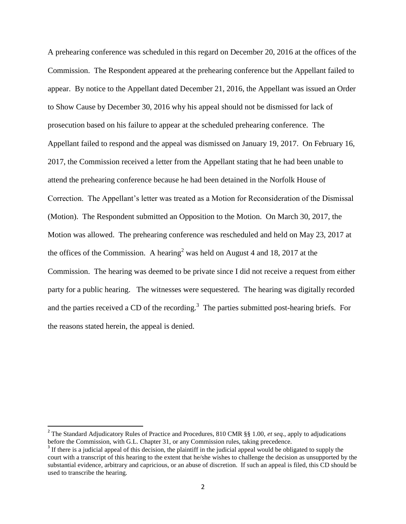A prehearing conference was scheduled in this regard on December 20, 2016 at the offices of the Commission. The Respondent appeared at the prehearing conference but the Appellant failed to appear. By notice to the Appellant dated December 21, 2016, the Appellant was issued an Order to Show Cause by December 30, 2016 why his appeal should not be dismissed for lack of prosecution based on his failure to appear at the scheduled prehearing conference. The Appellant failed to respond and the appeal was dismissed on January 19, 2017. On February 16, 2017, the Commission received a letter from the Appellant stating that he had been unable to attend the prehearing conference because he had been detained in the Norfolk House of Correction. The Appellant's letter was treated as a Motion for Reconsideration of the Dismissal (Motion). The Respondent submitted an Opposition to the Motion. On March 30, 2017, the Motion was allowed. The prehearing conference was rescheduled and held on May 23, 2017 at the offices of the Commission. A hearing<sup>2</sup> was held on August 4 and 18, 2017 at the Commission. The hearing was deemed to be private since I did not receive a request from either party for a public hearing. The witnesses were sequestered. The hearing was digitally recorded and the parties received a CD of the recording.<sup>3</sup> The parties submitted post-hearing briefs. For the reasons stated herein, the appeal is denied.

 $\overline{\phantom{a}}$ 

<sup>&</sup>lt;sup>2</sup> The Standard Adjudicatory Rules of Practice and Procedures, 810 CMR §§ 1.00, *et seq.*, apply to adjudications before the Commission, with G.L. Chapter 31, or any Commission rules, taking precedence.

<sup>&</sup>lt;sup>3</sup> If there is a judicial appeal of this decision, the plaintiff in the judicial appeal would be obligated to supply the court with a transcript of this hearing to the extent that he/she wishes to challenge the decision as unsupported by the substantial evidence, arbitrary and capricious, or an abuse of discretion. If such an appeal is filed, this CD should be used to transcribe the hearing.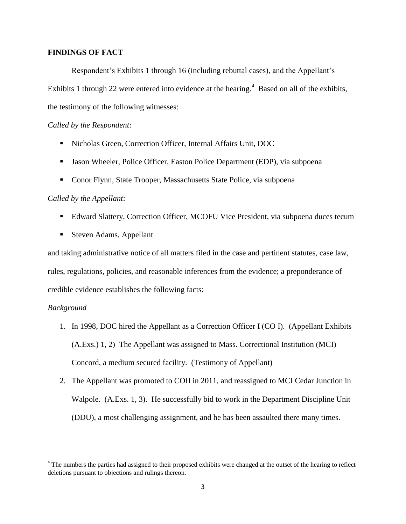### **FINDINGS OF FACT**

Respondent's Exhibits 1 through 16 (including rebuttal cases), and the Appellant's Exhibits 1 through 22 were entered into evidence at the hearing.<sup>4</sup> Based on all of the exhibits, the testimony of the following witnesses:

### *Called by the Respondent*:

- Nicholas Green, Correction Officer, Internal Affairs Unit, DOC
- **Jason Wheeler, Police Officer, Easton Police Department (EDP), via subpoena**
- Conor Flynn, State Trooper, Massachusetts State Police, via subpoena

#### *Called by the Appellant*:

- Edward Slattery, Correction Officer, MCOFU Vice President, via subpoena duces tecum
- Steven Adams, Appellant

and taking administrative notice of all matters filed in the case and pertinent statutes, case law, rules, regulations, policies, and reasonable inferences from the evidence; a preponderance of credible evidence establishes the following facts:

### *Background*

- 1. In 1998, DOC hired the Appellant as a Correction Officer I (CO I). (Appellant Exhibits (A.Exs.) 1, 2) The Appellant was assigned to Mass. Correctional Institution (MCI) Concord, a medium secured facility. (Testimony of Appellant)
- 2. The Appellant was promoted to COII in 2011, and reassigned to MCI Cedar Junction in Walpole. (A.Exs. 1, 3). He successfully bid to work in the Department Discipline Unit (DDU), a most challenging assignment, and he has been assaulted there many times.

<sup>&</sup>lt;sup>4</sup> The numbers the parties had assigned to their proposed exhibits were changed at the outset of the hearing to reflect deletions pursuant to objections and rulings thereon.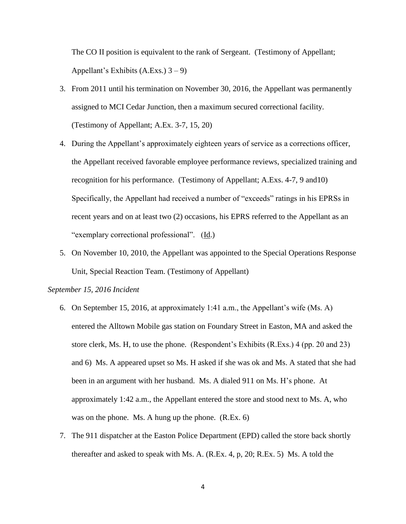The CO II position is equivalent to the rank of Sergeant. (Testimony of Appellant; Appellant's Exhibits  $(A.Exs.)$  3 – 9)

- 3. From 2011 until his termination on November 30, 2016, the Appellant was permanently assigned to MCI Cedar Junction, then a maximum secured correctional facility. (Testimony of Appellant; A.Ex. 3-7, 15, 20)
- 4. During the Appellant's approximately eighteen years of service as a corrections officer, the Appellant received favorable employee performance reviews, specialized training and recognition for his performance. (Testimony of Appellant; A.Exs. 4-7, 9 and10) Specifically, the Appellant had received a number of "exceeds" ratings in his EPRSs in recent years and on at least two (2) occasions, his EPRS referred to the Appellant as an "exemplary correctional professional". (Id.)
- 5. On November 10, 2010, the Appellant was appointed to the Special Operations Response Unit, Special Reaction Team. (Testimony of Appellant)

#### *September 15, 2016 Incident*

- 6. On September 15, 2016, at approximately 1:41 a.m., the Appellant's wife (Ms. A) entered the Alltown Mobile gas station on Foundary Street in Easton, MA and asked the store clerk, Ms. H, to use the phone. (Respondent's Exhibits (R.Exs.) 4 (pp. 20 and 23) and 6) Ms. A appeared upset so Ms. H asked if she was ok and Ms. A stated that she had been in an argument with her husband. Ms. A dialed 911 on Ms. H's phone. At approximately 1:42 a.m., the Appellant entered the store and stood next to Ms. A, who was on the phone. Ms. A hung up the phone. (R.Ex. 6)
- 7. The 911 dispatcher at the Easton Police Department (EPD) called the store back shortly thereafter and asked to speak with Ms. A. (R.Ex. 4, p, 20; R.Ex. 5) Ms. A told the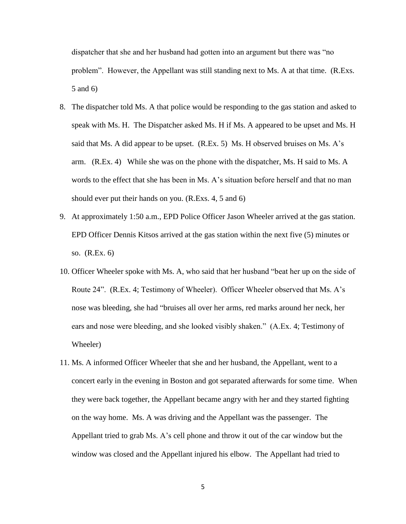dispatcher that she and her husband had gotten into an argument but there was "no problem". However, the Appellant was still standing next to Ms. A at that time. (R.Exs. 5 and 6)

- 8. The dispatcher told Ms. A that police would be responding to the gas station and asked to speak with Ms. H. The Dispatcher asked Ms. H if Ms. A appeared to be upset and Ms. H said that Ms. A did appear to be upset. (R.Ex. 5) Ms. H observed bruises on Ms. A's arm. (R.Ex. 4) While she was on the phone with the dispatcher, Ms. H said to Ms. A words to the effect that she has been in Ms. A's situation before herself and that no man should ever put their hands on you. (R.Exs. 4, 5 and 6)
- 9. At approximately 1:50 a.m., EPD Police Officer Jason Wheeler arrived at the gas station. EPD Officer Dennis Kitsos arrived at the gas station within the next five (5) minutes or so. (R.Ex. 6)
- 10. Officer Wheeler spoke with Ms. A, who said that her husband "beat her up on the side of Route 24". (R.Ex. 4; Testimony of Wheeler). Officer Wheeler observed that Ms. A's nose was bleeding, she had "bruises all over her arms, red marks around her neck, her ears and nose were bleeding, and she looked visibly shaken." (A.Ex. 4; Testimony of Wheeler)
- 11. Ms. A informed Officer Wheeler that she and her husband, the Appellant, went to a concert early in the evening in Boston and got separated afterwards for some time. When they were back together, the Appellant became angry with her and they started fighting on the way home. Ms. A was driving and the Appellant was the passenger. The Appellant tried to grab Ms. A's cell phone and throw it out of the car window but the window was closed and the Appellant injured his elbow. The Appellant had tried to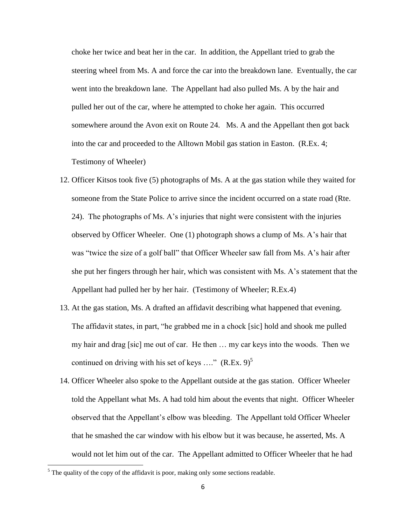choke her twice and beat her in the car. In addition, the Appellant tried to grab the steering wheel from Ms. A and force the car into the breakdown lane. Eventually, the car went into the breakdown lane. The Appellant had also pulled Ms. A by the hair and pulled her out of the car, where he attempted to choke her again. This occurred somewhere around the Avon exit on Route 24. Ms. A and the Appellant then got back into the car and proceeded to the Alltown Mobil gas station in Easton. (R.Ex. 4; Testimony of Wheeler)

- 12. Officer Kitsos took five (5) photographs of Ms. A at the gas station while they waited for someone from the State Police to arrive since the incident occurred on a state road (Rte. 24). The photographs of Ms. A's injuries that night were consistent with the injuries observed by Officer Wheeler. One (1) photograph shows a clump of Ms. A's hair that was "twice the size of a golf ball" that Officer Wheeler saw fall from Ms. A's hair after she put her fingers through her hair, which was consistent with Ms. A's statement that the Appellant had pulled her by her hair. (Testimony of Wheeler; R.Ex.4)
- 13. At the gas station, Ms. A drafted an affidavit describing what happened that evening. The affidavit states, in part, "he grabbed me in a chock [sic] hold and shook me pulled my hair and drag [sic] me out of car. He then … my car keys into the woods. Then we continued on driving with his set of keys  $\ldots$ " (R.Ex. 9)<sup>5</sup>
- 14. Officer Wheeler also spoke to the Appellant outside at the gas station. Officer Wheeler told the Appellant what Ms. A had told him about the events that night. Officer Wheeler observed that the Appellant's elbow was bleeding. The Appellant told Officer Wheeler that he smashed the car window with his elbow but it was because, he asserted, Ms. A would not let him out of the car. The Appellant admitted to Officer Wheeler that he had

 $\overline{\phantom{a}}$ 

 $<sup>5</sup>$  The quality of the copy of the affidavit is poor, making only some sections readable.</sup>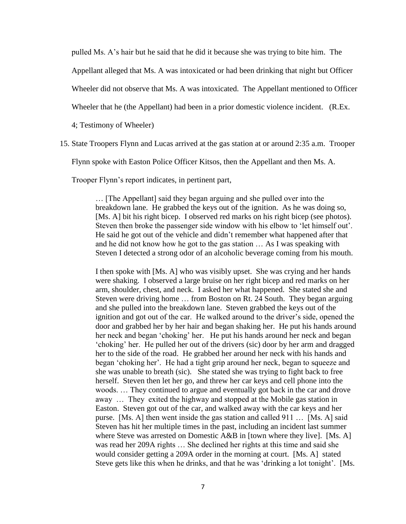pulled Ms. A's hair but he said that he did it because she was trying to bite him. The

Appellant alleged that Ms. A was intoxicated or had been drinking that night but Officer

Wheeler did not observe that Ms. A was intoxicated. The Appellant mentioned to Officer

Wheeler that he (the Appellant) had been in a prior domestic violence incident. (R.Ex.

4; Testimony of Wheeler)

15. State Troopers Flynn and Lucas arrived at the gas station at or around 2:35 a.m. Trooper

Flynn spoke with Easton Police Officer Kitsos, then the Appellant and then Ms. A.

Trooper Flynn's report indicates, in pertinent part,

… [The Appellant] said they began arguing and she pulled over into the breakdown lane. He grabbed the keys out of the ignition. As he was doing so, [Ms. A] bit his right bicep. I observed red marks on his right bicep (see photos). Steven then broke the passenger side window with his elbow to 'let himself out'. He said he got out of the vehicle and didn't remember what happened after that and he did not know how he got to the gas station … As I was speaking with Steven I detected a strong odor of an alcoholic beverage coming from his mouth.

I then spoke with [Ms. A] who was visibly upset. She was crying and her hands were shaking. I observed a large bruise on her right bicep and red marks on her arm, shoulder, chest, and neck. I asked her what happened. She stated she and Steven were driving home … from Boston on Rt. 24 South. They began arguing and she pulled into the breakdown lane. Steven grabbed the keys out of the ignition and got out of the car. He walked around to the driver's side, opened the door and grabbed her by her hair and began shaking her. He put his hands around her neck and began 'choking' her. He put his hands around her neck and began 'choking' her. He pulled her out of the drivers (sic) door by her arm and dragged her to the side of the road. He grabbed her around her neck with his hands and began 'choking her'. He had a tight grip around her neck, began to squeeze and she was unable to breath (sic). She stated she was trying to fight back to free herself. Steven then let her go, and threw her car keys and cell phone into the woods. … They continued to argue and eventually got back in the car and drove away … They exited the highway and stopped at the Mobile gas station in Easton. Steven got out of the car, and walked away with the car keys and her purse. [Ms. A] then went inside the gas station and called 911 … [Ms. A] said Steven has hit her multiple times in the past, including an incident last summer where Steve was arrested on Domestic A&B in [town where they live]. [Ms. A] was read her 209A rights … She declined her rights at this time and said she would consider getting a 209A order in the morning at court. [Ms. A] stated Steve gets like this when he drinks, and that he was 'drinking a lot tonight'. [Ms.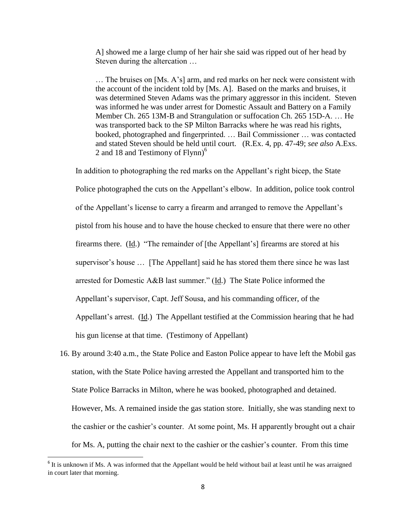A] showed me a large clump of her hair she said was ripped out of her head by Steven during the altercation …

… The bruises on [Ms. A's] arm, and red marks on her neck were consistent with the account of the incident told by [Ms. A]. Based on the marks and bruises, it was determined Steven Adams was the primary aggressor in this incident. Steven was informed he was under arrest for Domestic Assault and Battery on a Family Member Ch. 265 13M-B and Strangulation or suffocation Ch. 265 15D-A. … He was transported back to the SP Milton Barracks where he was read his rights, booked, photographed and fingerprinted. … Bail Commissioner … was contacted and stated Steven should be held until court. (R.Ex. 4, pp. 47-49; *see also* A.Exs. 2 and 18 and Testimony of Flynn)<sup>6</sup>

In addition to photographing the red marks on the Appellant's right bicep, the State Police photographed the cuts on the Appellant's elbow. In addition, police took control of the Appellant's license to carry a firearm and arranged to remove the Appellant's pistol from his house and to have the house checked to ensure that there were no other firearms there. (Id.) "The remainder of [the Appellant's] firearms are stored at his supervisor's house ... [The Appellant] said he has stored them there since he was last arrested for Domestic A&B last summer." (Id.) The State Police informed the Appellant's supervisor, Capt. Jeff Sousa, and his commanding officer, of the Appellant's arrest. (Id.) The Appellant testified at the Commission hearing that he had his gun license at that time. (Testimony of Appellant)

16. By around 3:40 a.m., the State Police and Easton Police appear to have left the Mobil gas station, with the State Police having arrested the Appellant and transported him to the State Police Barracks in Milton, where he was booked, photographed and detained. However, Ms. A remained inside the gas station store. Initially, she was standing next to the cashier or the cashier's counter. At some point, Ms. H apparently brought out a chair for Ms. A, putting the chair next to the cashier or the cashier's counter. From this time

l

<sup>&</sup>lt;sup>6</sup> It is unknown if Ms. A was informed that the Appellant would be held without bail at least until he was arraigned in court later that morning.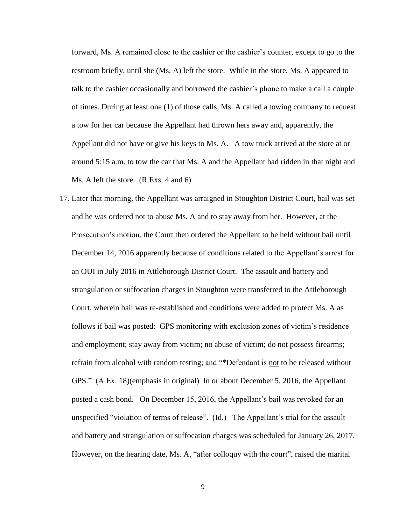forward, Ms. A remained close to the cashier or the cashier's counter, except to go to the restroom briefly, until she (Ms. A) left the store. While in the store, Ms. A appeared to talk to the cashier occasionally and borrowed the cashier's phone to make a call a couple of times. During at least one (1) of those calls, Ms. A called a towing company to request a tow for her car because the Appellant had thrown hers away and, apparently, the Appellant did not have or give his keys to Ms. A. A tow truck arrived at the store at or around 5:15 a.m. to tow the car that Ms. A and the Appellant had ridden in that night and Ms. A left the store. (R.Exs. 4 and 6)

17. Later that morning, the Appellant was arraigned in Stoughton District Court, bail was set and he was ordered not to abuse Ms. A and to stay away from her. However, at the Prosecution's motion, the Court then ordered the Appellant to be held without bail until December 14, 2016 apparently because of conditions related to the Appellant's arrest for an OUI in July 2016 in Attleborough District Court. The assault and battery and strangulation or suffocation charges in Stoughton were transferred to the Attleborough Court, wherein bail was re-established and conditions were added to protect Ms. A as follows if bail was posted: GPS monitoring with exclusion zones of victim's residence and employment; stay away from victim; no abuse of victim; do not possess firearms; refrain from alcohol with random testing; and "\*Defendant is not to be released without GPS." (A.Ex. 18)(emphasis in original) In or about December 5, 2016, the Appellant posted a cash bond. On December 15, 2016, the Appellant's bail was revoked for an unspecified "violation of terms of release".  $(\underline{Id})$  The Appellant's trial for the assault and battery and strangulation or suffocation charges was scheduled for January 26, 2017. However, on the hearing date, Ms. A, "after colloquy with the court", raised the marital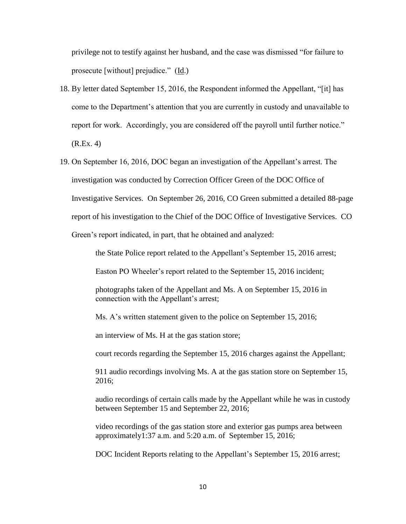privilege not to testify against her husband, and the case was dismissed "for failure to prosecute [without] prejudice." (Id.)

- 18. By letter dated September 15, 2016, the Respondent informed the Appellant, "[it] has come to the Department's attention that you are currently in custody and unavailable to report for work. Accordingly, you are considered off the payroll until further notice." (R.Ex. 4)
- 19. On September 16, 2016, DOC began an investigation of the Appellant's arrest. The investigation was conducted by Correction Officer Green of the DOC Office of Investigative Services. On September 26, 2016, CO Green submitted a detailed 88-page report of his investigation to the Chief of the DOC Office of Investigative Services. CO Green's report indicated, in part, that he obtained and analyzed:

the State Police report related to the Appellant's September 15, 2016 arrest;

Easton PO Wheeler's report related to the September 15, 2016 incident;

photographs taken of the Appellant and Ms. A on September 15, 2016 in connection with the Appellant's arrest;

Ms. A's written statement given to the police on September 15, 2016;

an interview of Ms. H at the gas station store;

court records regarding the September 15, 2016 charges against the Appellant;

911 audio recordings involving Ms. A at the gas station store on September 15, 2016;

audio recordings of certain calls made by the Appellant while he was in custody between September 15 and September 22, 2016;

video recordings of the gas station store and exterior gas pumps area between approximately1:37 a.m. and 5:20 a.m. of September 15, 2016;

DOC Incident Reports relating to the Appellant's September 15, 2016 arrest;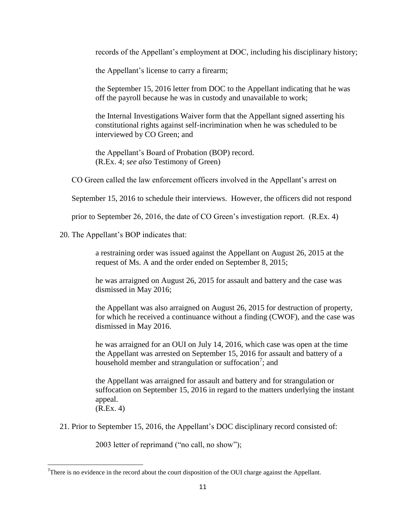records of the Appellant's employment at DOC, including his disciplinary history;

the Appellant's license to carry a firearm;

the September 15, 2016 letter from DOC to the Appellant indicating that he was off the payroll because he was in custody and unavailable to work;

the Internal Investigations Waiver form that the Appellant signed asserting his constitutional rights against self-incrimination when he was scheduled to be interviewed by CO Green; and

the Appellant's Board of Probation (BOP) record. (R.Ex. 4; *see also* Testimony of Green)

CO Green called the law enforcement officers involved in the Appellant's arrest on

September 15, 2016 to schedule their interviews. However, the officers did not respond

prior to September 26, 2016, the date of CO Green's investigation report. (R.Ex. 4)

20. The Appellant's BOP indicates that:

 $\overline{\phantom{a}}$ 

a restraining order was issued against the Appellant on August 26, 2015 at the request of Ms. A and the order ended on September 8, 2015;

he was arraigned on August 26, 2015 for assault and battery and the case was dismissed in May 2016;

the Appellant was also arraigned on August 26, 2015 for destruction of property, for which he received a continuance without a finding (CWOF), and the case was dismissed in May 2016.

he was arraigned for an OUI on July 14, 2016, which case was open at the time the Appellant was arrested on September 15, 2016 for assault and battery of a household member and strangulation or suffocation<sup>7</sup>; and

the Appellant was arraigned for assault and battery and for strangulation or suffocation on September 15, 2016 in regard to the matters underlying the instant appeal. (R.Ex. 4)

21. Prior to September 15, 2016, the Appellant's DOC disciplinary record consisted of:

2003 letter of reprimand ("no call, no show");

There is no evidence in the record about the court disposition of the OUI charge against the Appellant.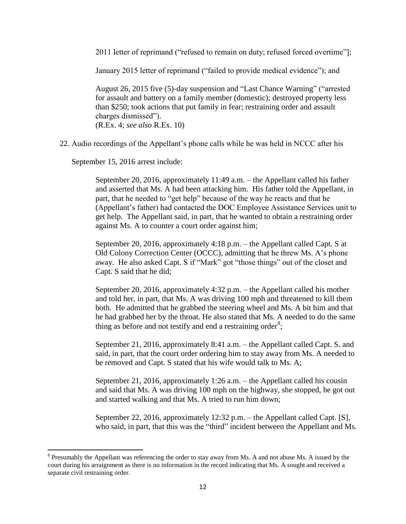2011 letter of reprimand ("refused to remain on duty; refused forced overtime"];

January 2015 letter of reprimand ("failed to provide medical evidence"); and

August 26, 2015 five (5)-day suspension and "Last Chance Warning" ("arrested for assault and battery on a family member (domestic); destroyed property less than \$250; took actions that put family in fear; restraining order and assault charges dismissed"). (R.Ex. 4; *see also* R.Ex. 10)

22. Audio recordings of the Appellant's phone calls while he was held in NCCC after his

September 15, 2016 arrest include:

 $\overline{\phantom{a}}$ 

September 20, 2016, approximately 11:49 a.m. – the Appellant called his father and asserted that Ms. A had been attacking him. His father told the Appellant, in part, that he needed to "get help" because of the way he reacts and that he (Appellant's father) had contacted the DOC Employee Assistance Services unit to get help. The Appellant said, in part, that he wanted to obtain a restraining order against Ms. A to counter a court order against him;

September 20, 2016, approximately 4:18 p.m. – the Appellant called Capt. S at Old Colony Correction Center (OCCC), admitting that he threw Ms. A's phone away. He also asked Capt. S if "Mark" got "those things" out of the closet and Capt. S said that he did;

September 20, 2016, approximately 4:32 p.m. – the Appellant called his mother and told her, in part, that Ms. A was driving 100 mph and threatened to kill them both. He admitted that he grabbed the steering wheel and Ms. A bit him and that he had grabbed her by the throat. He also stated that Ms. A needed to do the same thing as before and not testify and end a restraining order<sup>8</sup>;

September 21, 2016, approximately 8:41 a.m. – the Appellant called Capt. S. and said, in part, that the court order ordering him to stay away from Ms. A needed to be removed and Capt. S stated that his wife would talk to Ms. A;

September 21, 2016, approximately 1:26 a.m. – the Appellant called his cousin and said that Ms. A was driving 100 mph on the highway, she stopped, he got out and started walking and that Ms. A tried to run him down;

September 22, 2016, approximately 12:32 p.m. – the Appellant called Capt. [S], who said, in part, that this was the "third" incident between the Appellant and Ms.

 $8$  Presumably the Appellant was referencing the order to stay away from Ms. A and not abuse Ms. A issued by the court during his arraignment as there is no information in the record indicating that Ms. A sought and received a separate civil restraining order.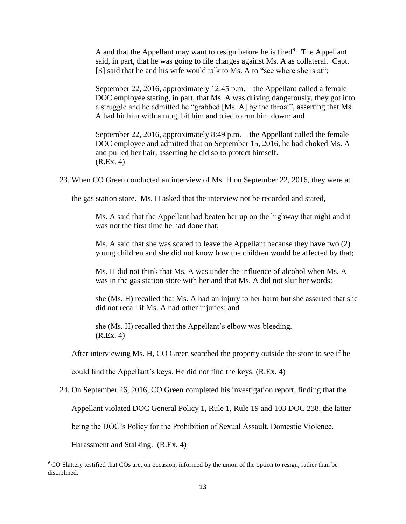A and that the Appellant may want to resign before he is fired $<sup>9</sup>$ . The Appellant</sup> said, in part, that he was going to file charges against Ms. A as collateral. Capt. [S] said that he and his wife would talk to Ms. A to "see where she is at";

September 22, 2016, approximately 12:45 p.m. – the Appellant called a female DOC employee stating, in part, that Ms. A was driving dangerously, they got into a struggle and he admitted he "grabbed [Ms. A] by the throat", asserting that Ms. A had hit him with a mug, bit him and tried to run him down; and

September 22, 2016, approximately 8:49 p.m. – the Appellant called the female DOC employee and admitted that on September 15, 2016, he had choked Ms. A and pulled her hair, asserting he did so to protect himself. (R.Ex. 4)

23. When CO Green conducted an interview of Ms. H on September 22, 2016, they were at

the gas station store. Ms. H asked that the interview not be recorded and stated,

Ms. A said that the Appellant had beaten her up on the highway that night and it was not the first time he had done that;

Ms. A said that she was scared to leave the Appellant because they have two (2) young children and she did not know how the children would be affected by that;

Ms. H did not think that Ms. A was under the influence of alcohol when Ms. A was in the gas station store with her and that Ms. A did not slur her words;

she (Ms. H) recalled that Ms. A had an injury to her harm but she asserted that she did not recall if Ms. A had other injuries; and

she (Ms. H) recalled that the Appellant's elbow was bleeding. (R.Ex. 4)

After interviewing Ms. H, CO Green searched the property outside the store to see if he

could find the Appellant's keys. He did not find the keys. (R.Ex. 4)

24. On September 26, 2016, CO Green completed his investigation report, finding that the

Appellant violated DOC General Policy 1, Rule 1, Rule 19 and 103 DOC 238, the latter

being the DOC's Policy for the Prohibition of Sexual Assault, Domestic Violence,

Harassment and Stalking. (R.Ex. 4)

l

<sup>&</sup>lt;sup>9</sup> CO Slattery testified that COs are, on occasion, informed by the union of the option to resign, rather than be disciplined.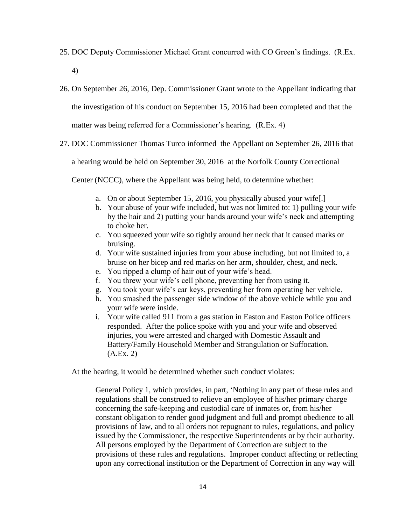25. DOC Deputy Commissioner Michael Grant concurred with CO Green's findings. (R.Ex.

4)

26. On September 26, 2016, Dep. Commissioner Grant wrote to the Appellant indicating that

the investigation of his conduct on September 15, 2016 had been completed and that the

matter was being referred for a Commissioner's hearing. (R.Ex. 4)

27. DOC Commissioner Thomas Turco informed the Appellant on September 26, 2016 that

a hearing would be held on September 30, 2016 at the Norfolk County Correctional

Center (NCCC), where the Appellant was being held, to determine whether:

- a. On or about September 15, 2016, you physically abused your wife[.]
- b. Your abuse of your wife included, but was not limited to: 1) pulling your wife by the hair and 2) putting your hands around your wife's neck and attempting to choke her.
- c. You squeezed your wife so tightly around her neck that it caused marks or bruising.
- d. Your wife sustained injuries from your abuse including, but not limited to, a bruise on her bicep and red marks on her arm, shoulder, chest, and neck.
- e. You ripped a clump of hair out of your wife's head.
- f. You threw your wife's cell phone, preventing her from using it.
- g. You took your wife's car keys, preventing her from operating her vehicle.
- h. You smashed the passenger side window of the above vehicle while you and your wife were inside.
- i. Your wife called 911 from a gas station in Easton and Easton Police officers responded. After the police spoke with you and your wife and observed injuries, you were arrested and charged with Domestic Assault and Battery/Family Household Member and Strangulation or Suffocation.  $(A.Ex. 2)$

At the hearing, it would be determined whether such conduct violates:

General Policy 1, which provides, in part, 'Nothing in any part of these rules and regulations shall be construed to relieve an employee of his/her primary charge concerning the safe-keeping and custodial care of inmates or, from his/her constant obligation to render good judgment and full and prompt obedience to all provisions of law, and to all orders not repugnant to rules, regulations, and policy issued by the Commissioner, the respective Superintendents or by their authority. All persons employed by the Department of Correction are subject to the provisions of these rules and regulations. Improper conduct affecting or reflecting upon any correctional institution or the Department of Correction in any way will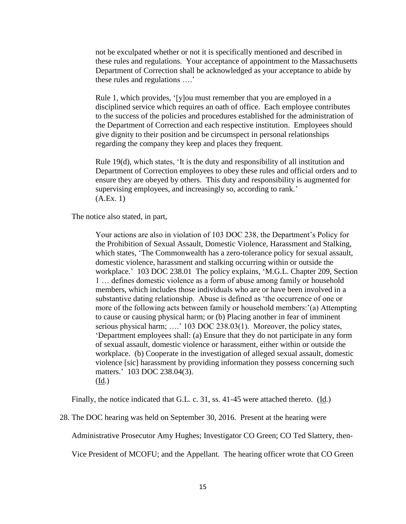not be exculpated whether or not it is specifically mentioned and described in these rules and regulations. Your acceptance of appointment to the Massachusetts Department of Correction shall be acknowledged as your acceptance to abide by these rules and regulations ….'

Rule 1, which provides, '[y]ou must remember that you are employed in a disciplined service which requires an oath of office. Each employee contributes to the success of the policies and procedures established for the administration of the Department of Correction and each respective institution. Employees should give dignity to their position and be circumspect in personal relationships regarding the company they keep and places they frequent.

Rule 19(d), which states, 'It is the duty and responsibility of all institution and Department of Correction employees to obey these rules and official orders and to ensure they are obeyed by others. This duty and responsibility is augmented for supervising employees, and increasingly so, according to rank.' (A.Ex. 1)

The notice also stated, in part,

Your actions are also in violation of 103 DOC 238, the Department's Policy for the Prohibition of Sexual Assault, Domestic Violence, Harassment and Stalking, which states, 'The Commonwealth has a zero-tolerance policy for sexual assault, domestic violence, harassment and stalking occurring within or outside the workplace.' 103 DOC 238.01 The policy explains, 'M.G.L. Chapter 209, Section 1 … defines domestic violence as a form of abuse among family or household members, which includes those individuals who are or have been involved in a substantive dating relationship. Abuse is defined as 'the occurrence of one or more of the following acts between family or household members:'(a) Attempting to cause or causing physical harm; or (b) Placing another in fear of imminent serious physical harm; ....' 103 DOC 238.03(1). Moreover, the policy states, 'Department employees shall: (a) Ensure that they do not participate in any form of sexual assault, domestic violence or harassment, either within or outside the workplace. (b) Cooperate in the investigation of alleged sexual assault, domestic violence [sic] harassment by providing information they possess concerning such matters.' 103 DOC 238.04(3). (Id.)

Finally, the notice indicated that G.L. c. 31, ss. 41-45 were attached thereto. (Id.)

28. The DOC hearing was held on September 30, 2016. Present at the hearing were

Administrative Prosecutor Amy Hughes; Investigator CO Green; CO Ted Slattery, then-

Vice President of MCOFU; and the Appellant. The hearing officer wrote that CO Green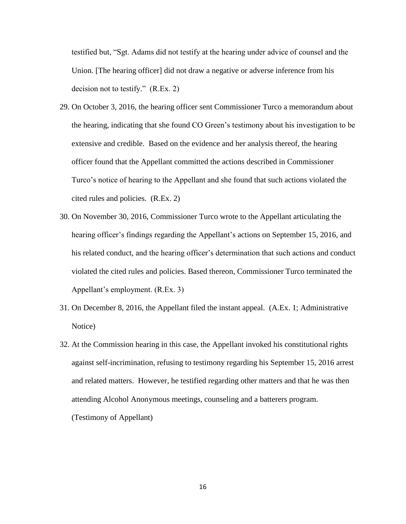testified but, "Sgt. Adams did not testify at the hearing under advice of counsel and the Union. [The hearing officer] did not draw a negative or adverse inference from his decision not to testify." (R.Ex. 2)

- 29. On October 3, 2016, the hearing officer sent Commissioner Turco a memorandum about the hearing, indicating that she found CO Green's testimony about his investigation to be extensive and credible. Based on the evidence and her analysis thereof, the hearing officer found that the Appellant committed the actions described in Commissioner Turco's notice of hearing to the Appellant and she found that such actions violated the cited rules and policies. (R.Ex. 2)
- 30. On November 30, 2016, Commissioner Turco wrote to the Appellant articulating the hearing officer's findings regarding the Appellant's actions on September 15, 2016, and his related conduct, and the hearing officer's determination that such actions and conduct violated the cited rules and policies. Based thereon, Commissioner Turco terminated the Appellant's employment. (R.Ex. 3)
- 31. On December 8, 2016, the Appellant filed the instant appeal. (A.Ex. 1; Administrative Notice)
- 32. At the Commission hearing in this case, the Appellant invoked his constitutional rights against self-incrimination, refusing to testimony regarding his September 15, 2016 arrest and related matters. However, he testified regarding other matters and that he was then attending Alcohol Anonymous meetings, counseling and a batterers program. (Testimony of Appellant)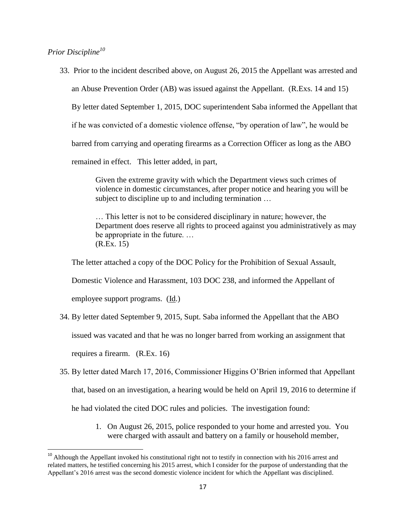*Prior Discipline<sup>10</sup>*

33. Prior to the incident described above, on August 26, 2015 the Appellant was arrested and

an Abuse Prevention Order (AB) was issued against the Appellant. (R.Exs. 14 and 15)

By letter dated September 1, 2015, DOC superintendent Saba informed the Appellant that

if he was convicted of a domestic violence offense, "by operation of law", he would be

barred from carrying and operating firearms as a Correction Officer as long as the ABO

remained in effect. This letter added, in part,

Given the extreme gravity with which the Department views such crimes of violence in domestic circumstances, after proper notice and hearing you will be subject to discipline up to and including termination …

… This letter is not to be considered disciplinary in nature; however, the Department does reserve all rights to proceed against you administratively as may be appropriate in the future. … (R.Ex. 15)

The letter attached a copy of the DOC Policy for the Prohibition of Sexual Assault,

Domestic Violence and Harassment, 103 DOC 238, and informed the Appellant of

employee support programs. (Id.)

34. By letter dated September 9, 2015, Supt. Saba informed the Appellant that the ABO

issued was vacated and that he was no longer barred from working an assignment that

requires a firearm. (R.Ex. 16)

 $\overline{\phantom{a}}$ 

- 35. By letter dated March 17, 2016, Commissioner Higgins O'Brien informed that Appellant that, based on an investigation, a hearing would be held on April 19, 2016 to determine if he had violated the cited DOC rules and policies. The investigation found:
	- 1. On August 26, 2015, police responded to your home and arrested you. You were charged with assault and battery on a family or household member,

 $10$  Although the Appellant invoked his constitutional right not to testify in connection with his 2016 arrest and related matters, he testified concerning his 2015 arrest, which I consider for the purpose of understanding that the Appellant's 2016 arrest was the second domestic violence incident for which the Appellant was disciplined.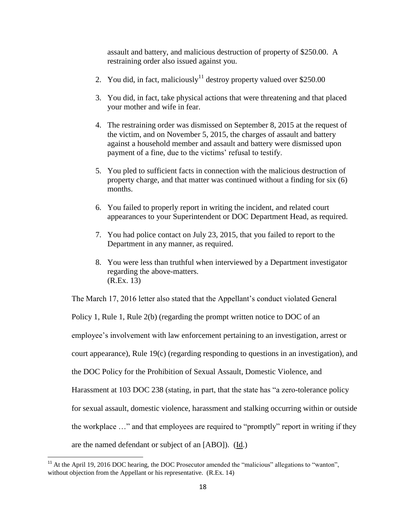assault and battery, and malicious destruction of property of \$250.00. A restraining order also issued against you.

- 2. You did, in fact, maliciously<sup>11</sup> destroy property valued over \$250.00
- 3. You did, in fact, take physical actions that were threatening and that placed your mother and wife in fear.
- 4. The restraining order was dismissed on September 8, 2015 at the request of the victim, and on November 5, 2015, the charges of assault and battery against a household member and assault and battery were dismissed upon payment of a fine, due to the victims' refusal to testify.
- 5. You pled to sufficient facts in connection with the malicious destruction of property charge, and that matter was continued without a finding for six (6) months.
- 6. You failed to properly report in writing the incident, and related court appearances to your Superintendent or DOC Department Head, as required.
- 7. You had police contact on July 23, 2015, that you failed to report to the Department in any manner, as required.
- 8. You were less than truthful when interviewed by a Department investigator regarding the above-matters. (R.Ex. 13)

The March 17, 2016 letter also stated that the Appellant's conduct violated General

Policy 1, Rule 1, Rule 2(b) (regarding the prompt written notice to DOC of an employee's involvement with law enforcement pertaining to an investigation, arrest or court appearance), Rule 19(c) (regarding responding to questions in an investigation), and the DOC Policy for the Prohibition of Sexual Assault, Domestic Violence, and Harassment at 103 DOC 238 (stating, in part, that the state has "a zero-tolerance policy for sexual assault, domestic violence, harassment and stalking occurring within or outside the workplace …" and that employees are required to "promptly" report in writing if they are the named defendant or subject of an [ABO]). (Id.)

l  $11$  At the April 19, 2016 DOC hearing, the DOC Prosecutor amended the "malicious" allegations to "wanton", without objection from the Appellant or his representative. (R.Ex. 14)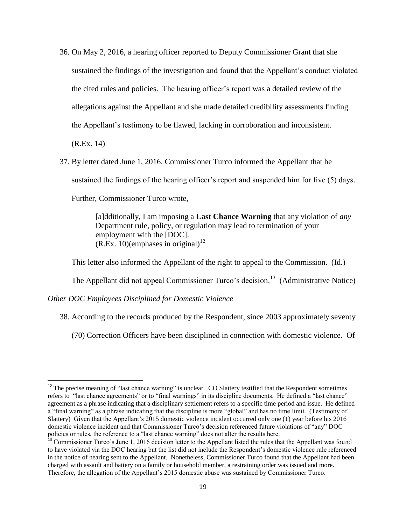- 36. On May 2, 2016, a hearing officer reported to Deputy Commissioner Grant that she sustained the findings of the investigation and found that the Appellant's conduct violated the cited rules and policies. The hearing officer's report was a detailed review of the allegations against the Appellant and she made detailed credibility assessments finding the Appellant's testimony to be flawed, lacking in corroboration and inconsistent. (R.Ex. 14)
- 37. By letter dated June 1, 2016, Commissioner Turco informed the Appellant that he sustained the findings of the hearing officer's report and suspended him for five (5) days. Further, Commissioner Turco wrote,

[a]dditionally, I am imposing a **Last Chance Warning** that any violation of *any* Department rule, policy, or regulation may lead to termination of your employment with the [DOC].  $(R.Ex. 10)(emphases in original)<sup>12</sup>$ 

This letter also informed the Appellant of the right to appeal to the Commission. (Id.)

The Appellant did not appeal Commissioner Turco's decision.<sup>13</sup> (Administrative Notice)

*Other DOC Employees Disciplined for Domestic Violence*

l

38. According to the records produced by the Respondent, since 2003 approximately seventy

(70) Correction Officers have been disciplined in connection with domestic violence. Of

 $12$  The precise meaning of "last chance warning" is unclear. CO Slattery testified that the Respondent sometimes refers to "last chance agreements" or to "final warnings" in its discipline documents. He defined a "last chance" agreement as a phrase indicating that a disciplinary settlement refers to a specific time period and issue. He defined a "final warning" as a phrase indicating that the discipline is more "global" and has no time limit. (Testimony of Slattery) Given that the Appellant's 2015 domestic violence incident occurred only one (1) year before his 2016 domestic violence incident and that Commissioner Turco's decision referenced future violations of "any" DOC policies or rules, the reference to a "last chance warning" does not alter the results here.

<sup>&</sup>lt;sup>13</sup> Commissioner Turco's June 1, 2016 decision letter to the Appellant listed the rules that the Appellant was found to have violated via the DOC hearing but the list did not include the Respondent's domestic violence rule referenced in the notice of hearing sent to the Appellant. Nonetheless, Commissioner Turco found that the Appellant had been charged with assault and battery on a family or household member, a restraining order was issued and more. Therefore, the allegation of the Appellant's 2015 domestic abuse was sustained by Commissioner Turco.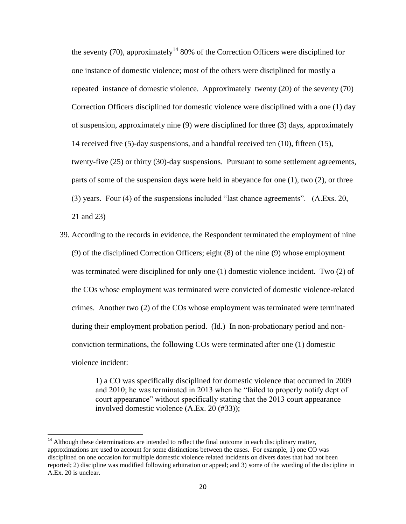the seventy (70), approximately<sup>14</sup> 80% of the Correction Officers were disciplined for one instance of domestic violence; most of the others were disciplined for mostly a repeated instance of domestic violence. Approximately twenty (20) of the seventy (70) Correction Officers disciplined for domestic violence were disciplined with a one (1) day of suspension, approximately nine (9) were disciplined for three (3) days, approximately 14 received five (5)-day suspensions, and a handful received ten (10), fifteen (15), twenty-five (25) or thirty (30)-day suspensions. Pursuant to some settlement agreements, parts of some of the suspension days were held in abeyance for one (1), two (2), or three (3) years. Four (4) of the suspensions included "last chance agreements". (A.Exs. 20, 21 and 23)

39. According to the records in evidence, the Respondent terminated the employment of nine (9) of the disciplined Correction Officers; eight (8) of the nine (9) whose employment was terminated were disciplined for only one (1) domestic violence incident. Two (2) of the COs whose employment was terminated were convicted of domestic violence-related crimes. Another two (2) of the COs whose employment was terminated were terminated during their employment probation period. (Id.) In non-probationary period and nonconviction terminations, the following COs were terminated after one (1) domestic violence incident:

> 1) a CO was specifically disciplined for domestic violence that occurred in 2009 and 2010; he was terminated in 2013 when he "failed to properly notify dept of court appearance" without specifically stating that the 2013 court appearance involved domestic violence (A.Ex. 20 (#33));

 $\overline{a}$ 

<sup>&</sup>lt;sup>14</sup> Although these determinations are intended to reflect the final outcome in each disciplinary matter, approximations are used to account for some distinctions between the cases. For example, 1) one CO was disciplined on one occasion for multiple domestic violence related incidents on divers dates that had not been reported; 2) discipline was modified following arbitration or appeal; and 3) some of the wording of the discipline in A.Ex. 20 is unclear.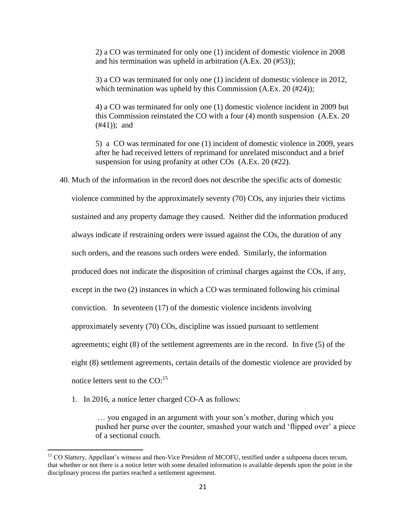2) a CO was terminated for only one (1) incident of domestic violence in 2008 and his termination was upheld in arbitration (A.Ex. 20 (#53));

3) a CO was terminated for only one (1) incident of domestic violence in 2012, which termination was upheld by this Commission (A.Ex. 20 (#24));

4) a CO was terminated for only one (1) domestic violence incident in 2009 but this Commission reinstated the CO with a four (4) month suspension (A.Ex. 20 (#41)); and

5) a CO was terminated for one (1) incident of domestic violence in 2009, years after he had received letters of reprimand for unrelated misconduct and a brief suspension for using profanity at other COs (A.Ex. 20 (#22).

40. Much of the information in the record does not describe the specific acts of domestic

violence committed by the approximately seventy (70) COs, any injuries their victims sustained and any property damage they caused. Neither did the information produced always indicate if restraining orders were issued against the COs, the duration of any such orders, and the reasons such orders were ended. Similarly, the information produced does not indicate the disposition of criminal charges against the COs, if any, except in the two (2) instances in which a CO was terminated following his criminal conviction. In seventeen (17) of the domestic violence incidents involving approximately seventy (70) COs, discipline was issued pursuant to settlement agreements; eight (8) of the settlement agreements are in the record. In five (5) of the eight (8) settlement agreements, certain details of the domestic violence are provided by notice letters sent to the  $CO:^{15}$ 

1. In 2016, a notice letter charged CO-A as follows:

 $\overline{\phantom{a}}$ 

… you engaged in an argument with your son's mother, during which you pushed her purse over the counter, smashed your watch and 'flipped over' a piece of a sectional couch.

<sup>&</sup>lt;sup>15</sup> CO Slattery, Appellant's witness and then-Vice President of MCOFU, testified under a subpoena duces tecum, that whether or not there is a notice letter with some detailed information is available depends upon the point in the disciplinary process the parties reached a settlement agreement.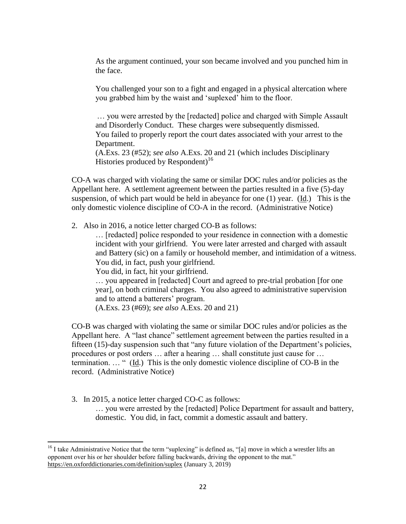As the argument continued, your son became involved and you punched him in the face.

You challenged your son to a fight and engaged in a physical altercation where you grabbed him by the waist and 'suplexed' him to the floor.

… you were arrested by the [redacted] police and charged with Simple Assault and Disorderly Conduct. These charges were subsequently dismissed. You failed to properly report the court dates associated with your arrest to the Department.

(A.Exs. 23 (#52); *see also* A.Exs. 20 and 21 (which includes Disciplinary Histories produced by Respondent)<sup>16</sup>

CO-A was charged with violating the same or similar DOC rules and/or policies as the Appellant here. A settlement agreement between the parties resulted in a five (5)-day suspension, of which part would be held in abeyance for one (1) year. (Id.) This is the only domestic violence discipline of CO-A in the record. (Administrative Notice)

2. Also in 2016, a notice letter charged CO-B as follows:

… [redacted] police responded to your residence in connection with a domestic incident with your girlfriend. You were later arrested and charged with assault and Battery (sic) on a family or household member, and intimidation of a witness. You did, in fact, push your girlfriend.

You did, in fact, hit your girlfriend.

… you appeared in [redacted] Court and agreed to pre-trial probation [for one year], on both criminal charges. You also agreed to administrative supervision and to attend a batterers' program.

(A.Exs. 23 (#69); *see also* A.Exs. 20 and 21)

CO-B was charged with violating the same or similar DOC rules and/or policies as the Appellant here. A "last chance" settlement agreement between the parties resulted in a fifteen (15)-day suspension such that "any future violation of the Department's policies, procedures or post orders … after a hearing … shall constitute just cause for … termination. … " (Id.) This is the only domestic violence discipline of CO-B in the record. (Administrative Notice)

3. In 2015, a notice letter charged CO-C as follows:

 $\overline{\phantom{a}}$ 

… you were arrested by the [redacted] Police Department for assault and battery, domestic. You did, in fact, commit a domestic assault and battery.

<sup>&</sup>lt;sup>16</sup> I take Administrative Notice that the term "suplexing" is defined as, "[a] move in which a wrestler lifts an opponent over his or her shoulder before falling backwards, driving the opponent to the mat." <https://en.oxforddictionaries.com/definition/suplex> (January 3, 2019)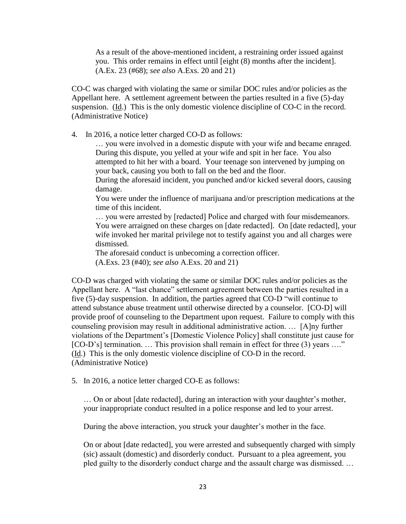As a result of the above-mentioned incident, a restraining order issued against you. This order remains in effect until [eight (8) months after the incident]. (A.Ex. 23 (#68); *see also* A.Exs. 20 and 21)

CO-C was charged with violating the same or similar DOC rules and/or policies as the Appellant here. A settlement agreement between the parties resulted in a five (5)-day suspension. (Id.) This is the only domestic violence discipline of CO-C in the record. (Administrative Notice)

4. In 2016, a notice letter charged CO-D as follows:

… you were involved in a domestic dispute with your wife and became enraged. During this dispute, you yelled at your wife and spit in her face. You also attempted to hit her with a board. Your teenage son intervened by jumping on your back, causing you both to fall on the bed and the floor.

During the aforesaid incident, you punched and/or kicked several doors, causing damage.

You were under the influence of marijuana and/or prescription medications at the time of this incident.

… you were arrested by [redacted] Police and charged with four misdemeanors. You were arraigned on these charges on [date redacted]. On [date redacted], your wife invoked her marital privilege not to testify against you and all charges were dismissed.

The aforesaid conduct is unbecoming a correction officer.

(A.Exs. 23 (#40); *see also* A.Exs. 20 and 21)

CO-D was charged with violating the same or similar DOC rules and/or policies as the Appellant here. A "last chance" settlement agreement between the parties resulted in a five (5)-day suspension. In addition, the parties agreed that CO-D "will continue to attend substance abuse treatment until otherwise directed by a counselor. [CO-D] will provide proof of counseling to the Department upon request. Failure to comply with this counseling provision may result in additional administrative action. … [A]ny further violations of the Department's [Domestic Violence Policy] shall constitute just cause for [CO-D's] termination. ... This provision shall remain in effect for three (3) years ...." (Id.) This is the only domestic violence discipline of CO-D in the record. (Administrative Notice)

5. In 2016, a notice letter charged CO-E as follows:

… On or about [date redacted], during an interaction with your daughter's mother, your inappropriate conduct resulted in a police response and led to your arrest.

During the above interaction, you struck your daughter's mother in the face.

On or about [date redacted], you were arrested and subsequently charged with simply (sic) assault (domestic) and disorderly conduct. Pursuant to a plea agreement, you pled guilty to the disorderly conduct charge and the assault charge was dismissed. …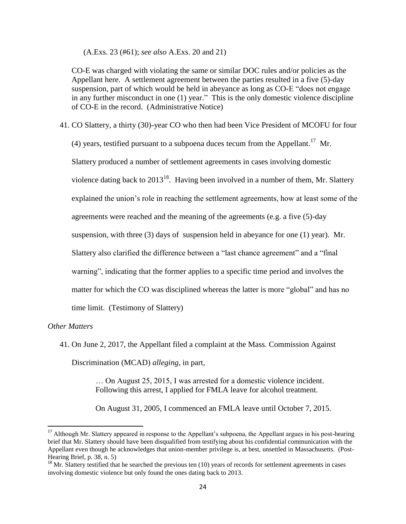(A.Exs. 23 (#61); *see also* A.Exs. 20 and 21)

CO-E was charged with violating the same or similar DOC rules and/or policies as the Appellant here. A settlement agreement between the parties resulted in a five (5)-day suspension, part of which would be held in abeyance as long as CO-E "does not engage in any further misconduct in one (1) year." This is the only domestic violence discipline of CO-E in the record. (Administrative Notice)

41. CO Slattery, a thirty (30)-year CO who then had been Vice President of MCOFU for four

(4) years, testified pursuant to a subpoena duces tecum from the Appellant.<sup>17</sup> Mr.

Slattery produced a number of settlement agreements in cases involving domestic

violence dating back to  $2013^{18}$ . Having been involved in a number of them, Mr. Slattery

explained the union's role in reaching the settlement agreements, how at least some of the

agreements were reached and the meaning of the agreements (e.g. a five (5)-day

suspension, with three (3) days of suspension held in abeyance for one (1) year). Mr.

Slattery also clarified the difference between a "last chance agreement" and a "final

warning", indicating that the former applies to a specific time period and involves the

matter for which the CO was disciplined whereas the latter is more "global" and has no

time limit. (Testimony of Slattery)

## *Other Matters*

 $\overline{\phantom{a}}$ 

41. On June 2, 2017, the Appellant filed a complaint at the Mass. Commission Against

Discrimination (MCAD) *alleging*, in part,

… On August 25, 2015, I was arrested for a domestic violence incident. Following this arrest, I applied for FMLA leave for alcohol treatment.

On August 31, 2005, I commenced an FMLA leave until October 7, 2015.

 $17$  Although Mr. Slattery appeared in response to the Appellant's subpoena, the Appellant argues in his post-hearing brief that Mr. Slattery should have been disqualified from testifying about his confidential communication with the Appellant even though he acknowledges that union-member privilege is, at best, unsettled in Massachusetts. (Post-Hearing Brief, p. 38, n. 5)

 $18$  Mr. Slattery testified that he searched the previous ten (10) years of records for settlement agreements in cases involving domestic violence but only found the ones dating back to 2013.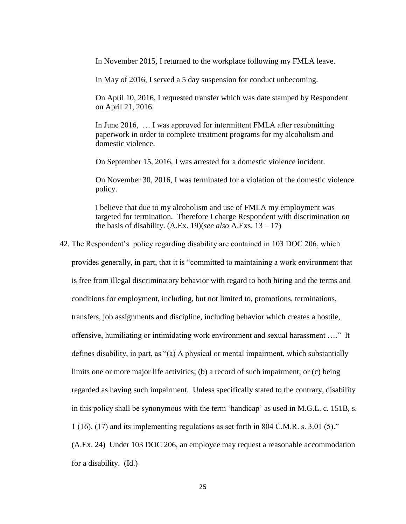In November 2015, I returned to the workplace following my FMLA leave.

In May of 2016, I served a 5 day suspension for conduct unbecoming.

On April 10, 2016, I requested transfer which was date stamped by Respondent on April 21, 2016.

In June 2016, … I was approved for intermittent FMLA after resubmitting paperwork in order to complete treatment programs for my alcoholism and domestic violence.

On September 15, 2016, I was arrested for a domestic violence incident.

On November 30, 2016, I was terminated for a violation of the domestic violence policy.

I believe that due to my alcoholism and use of FMLA my employment was targeted for termination. Therefore I charge Respondent with discrimination on the basis of disability.  $(A.Ex. 19)(see also A.Exs. 13-17)$ 

42. The Respondent's policy regarding disability are contained in 103 DOC 206, which

provides generally, in part, that it is "committed to maintaining a work environment that is free from illegal discriminatory behavior with regard to both hiring and the terms and conditions for employment, including, but not limited to, promotions, terminations, transfers, job assignments and discipline, including behavior which creates a hostile, offensive, humiliating or intimidating work environment and sexual harassment …." It defines disability, in part, as "(a) A physical or mental impairment, which substantially limits one or more major life activities; (b) a record of such impairment; or (c) being regarded as having such impairment. Unless specifically stated to the contrary, disability in this policy shall be synonymous with the term 'handicap' as used in M.G.L. c. 151B, s. 1 (16), (17) and its implementing regulations as set forth in 804 C.M.R. s. 3.01 (5)."

(A.Ex. 24) Under 103 DOC 206, an employee may request a reasonable accommodation for a disability. (Id.)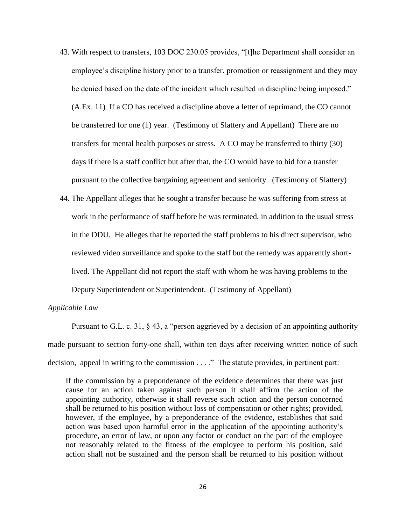- 43. With respect to transfers, 103 DOC 230.05 provides, "[t]he Department shall consider an employee's discipline history prior to a transfer, promotion or reassignment and they may be denied based on the date of the incident which resulted in discipline being imposed." (A.Ex. 11) If a CO has received a discipline above a letter of reprimand, the CO cannot be transferred for one (1) year. (Testimony of Slattery and Appellant) There are no transfers for mental health purposes or stress. A CO may be transferred to thirty (30) days if there is a staff conflict but after that, the CO would have to bid for a transfer pursuant to the collective bargaining agreement and seniority. (Testimony of Slattery)
- 44. The Appellant alleges that he sought a transfer because he was suffering from stress at work in the performance of staff before he was terminated, in addition to the usual stress in the DDU. He alleges that he reported the staff problems to his direct supervisor, who reviewed video surveillance and spoke to the staff but the remedy was apparently shortlived. The Appellant did not report the staff with whom he was having problems to the Deputy Superintendent or Superintendent. (Testimony of Appellant)

### *Applicable Law*

Pursuant to G.L. c. 31, § 43, a "person aggrieved by a decision of an appointing authority made pursuant to section forty-one shall, within ten days after receiving written notice of such decision, appeal in writing to the commission . . . ." The statute provides, in pertinent part:

If the commission by a preponderance of the evidence determines that there was just cause for an action taken against such person it shall affirm the action of the appointing authority, otherwise it shall reverse such action and the person concerned shall be returned to his position without loss of compensation or other rights; provided, however, if the employee, by a preponderance of the evidence, establishes that said action was based upon harmful error in the application of the appointing authority's procedure, an error of law, or upon any factor or conduct on the part of the employee not reasonably related to the fitness of the employee to perform his position, said action shall not be sustained and the person shall be returned to his position without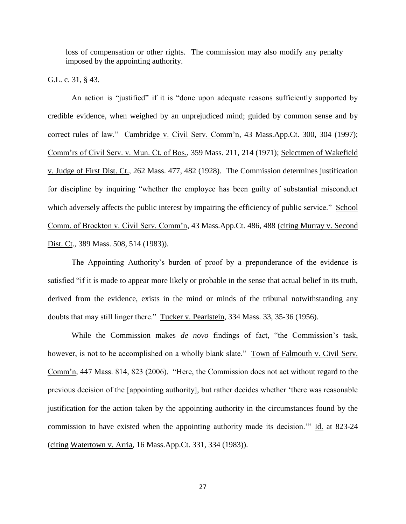loss of compensation or other rights. The commission may also modify any penalty imposed by the appointing authority.

G.L. c. 31, § 43.

An action is "justified" if it is "done upon adequate reasons sufficiently supported by credible evidence, when weighed by an unprejudiced mind; guided by common sense and by correct rules of law." Cambridge v. Civil Serv. Comm'n, 43 Mass.App.Ct. 300, 304 (1997); Comm'rs of Civil Serv. v. Mun. Ct. of Bos.*,* 359 Mass. 211, 214 (1971); Selectmen of Wakefield v. Judge of First Dist. Ct.*,* 262 Mass. 477, 482 (1928). The Commission determines justification for discipline by inquiring "whether the employee has been guilty of substantial misconduct which adversely affects the public interest by impairing the efficiency of public service." School Comm. of Brockton v. Civil Serv. Comm'n*,* 43 Mass.App.Ct. 486, 488 (citing Murray v. Second Dist. Ct*.,* 389 Mass. 508, 514 (1983)).

The Appointing Authority's burden of proof by a preponderance of the evidence is satisfied "if it is made to appear more likely or probable in the sense that actual belief in its truth, derived from the evidence, exists in the mind or minds of the tribunal notwithstanding any doubts that may still linger there." Tucker v. Pearlstein*,* 334 Mass. 33, 35-36 (1956).

While the Commission makes *de novo* findings of fact, "the Commission's task, however, is not to be accomplished on a wholly blank slate." Town of Falmouth v. Civil Serv. Comm'n*,* 447 Mass. 814, 823 (2006). "Here, the Commission does not act without regard to the previous decision of the [appointing authority], but rather decides whether 'there was reasonable justification for the action taken by the appointing authority in the circumstances found by the commission to have existed when the appointing authority made its decision.'" Id. at 823-24 (citing Watertown v. Arria, 16 Mass.App.Ct. 331, 334 (1983)).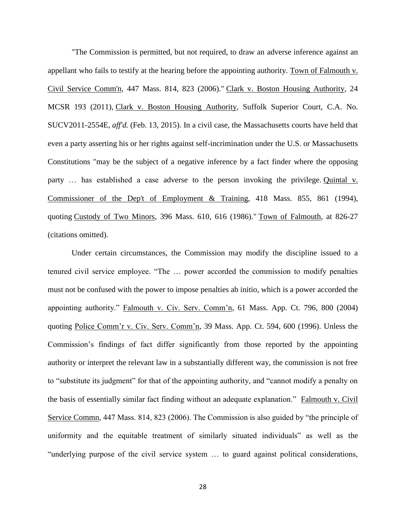"The Commission is permitted, but not required, to draw an adverse inference against an appellant who fails to testify at the hearing before the appointing authority. Town of Falmouth v. Civil Service Comm'n, 447 Mass. 814, 823 (2006)." Clark v. Boston Housing Authority, 24 MCSR 193 (2011), Clark v. Boston Housing Authority, Suffolk Superior Court, C.A. No. SUCV2011-2554E, *aff'd.* (Feb. 13, 2015). In a civil case, the Massachusetts courts have held that even a party asserting his or her rights against self-incrimination under the U.S. or Massachusetts Constitutions "may be the subject of a negative inference by a fact finder where the opposing party ... has established a case adverse to the person invoking the privilege. Quintal v. Commissioner of the Dep't of Employment & Training, 418 Mass. 855, 861 (1994), quoting Custody of Two Minors, 396 Mass. 610, 616 (1986)." Town of Falmouth, at 826-27 (citations omitted).

Under certain circumstances, the Commission may modify the discipline issued to a tenured civil service employee. "The … power accorded the commission to modify penalties must not be confused with the power to impose penalties ab initio, which is a power accorded the appointing authority." Falmouth v. Civ. Serv. Comm'n, 61 Mass. App. Ct. 796, 800 (2004) quoting Police Comm'r v. Civ. Serv. Comm'n, 39 Mass. App. Ct. 594, 600 (1996). Unless the Commission's findings of fact differ significantly from those reported by the appointing authority or interpret the relevant law in a substantially different way, the commission is not free to "substitute its judgment" for that of the appointing authority, and "cannot modify a penalty on the basis of essentially similar fact finding without an adequate explanation." Falmouth v. Civil Service Commn, 447 Mass. 814, 823 (2006). The Commission is also guided by "the principle of uniformity and the equitable treatment of similarly situated individuals" as well as the "underlying purpose of the civil service system … to guard against political considerations,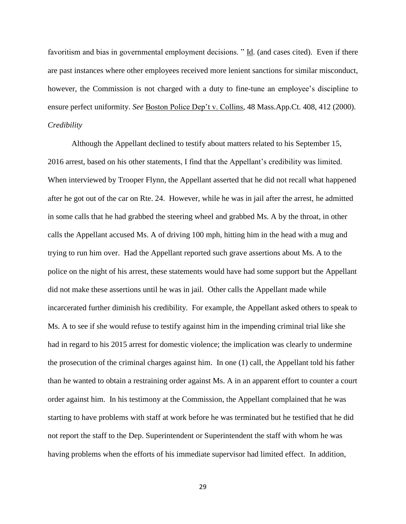favoritism and bias in governmental employment decisions. " Id. (and cases cited). Even if there are past instances where other employees received more lenient sanctions for similar misconduct, however, the Commission is not charged with a duty to fine-tune an employee's discipline to ensure perfect uniformity. *See* Boston Police Dep't v. Collins, 48 Mass.App.Ct. 408, 412 (2000). *Credibility*

Although the Appellant declined to testify about matters related to his September 15, 2016 arrest, based on his other statements, I find that the Appellant's credibility was limited. When interviewed by Trooper Flynn, the Appellant asserted that he did not recall what happened after he got out of the car on Rte. 24. However, while he was in jail after the arrest, he admitted in some calls that he had grabbed the steering wheel and grabbed Ms. A by the throat, in other calls the Appellant accused Ms. A of driving 100 mph, hitting him in the head with a mug and trying to run him over. Had the Appellant reported such grave assertions about Ms. A to the police on the night of his arrest, these statements would have had some support but the Appellant did not make these assertions until he was in jail. Other calls the Appellant made while incarcerated further diminish his credibility. For example, the Appellant asked others to speak to Ms. A to see if she would refuse to testify against him in the impending criminal trial like she had in regard to his 2015 arrest for domestic violence; the implication was clearly to undermine the prosecution of the criminal charges against him. In one (1) call, the Appellant told his father than he wanted to obtain a restraining order against Ms. A in an apparent effort to counter a court order against him. In his testimony at the Commission, the Appellant complained that he was starting to have problems with staff at work before he was terminated but he testified that he did not report the staff to the Dep. Superintendent or Superintendent the staff with whom he was having problems when the efforts of his immediate supervisor had limited effect. In addition,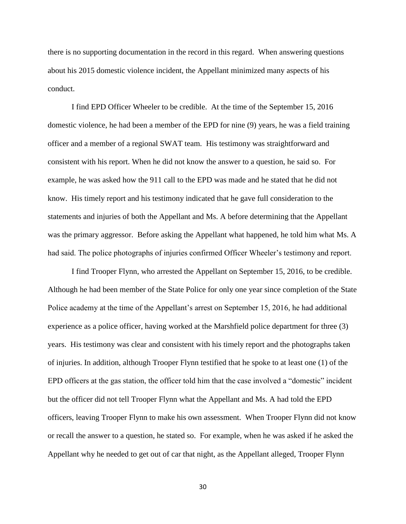there is no supporting documentation in the record in this regard. When answering questions about his 2015 domestic violence incident, the Appellant minimized many aspects of his conduct.

I find EPD Officer Wheeler to be credible. At the time of the September 15, 2016 domestic violence, he had been a member of the EPD for nine (9) years, he was a field training officer and a member of a regional SWAT team. His testimony was straightforward and consistent with his report. When he did not know the answer to a question, he said so. For example, he was asked how the 911 call to the EPD was made and he stated that he did not know. His timely report and his testimony indicated that he gave full consideration to the statements and injuries of both the Appellant and Ms. A before determining that the Appellant was the primary aggressor. Before asking the Appellant what happened, he told him what Ms. A had said. The police photographs of injuries confirmed Officer Wheeler's testimony and report.

I find Trooper Flynn, who arrested the Appellant on September 15, 2016, to be credible. Although he had been member of the State Police for only one year since completion of the State Police academy at the time of the Appellant's arrest on September 15, 2016, he had additional experience as a police officer, having worked at the Marshfield police department for three (3) years. His testimony was clear and consistent with his timely report and the photographs taken of injuries. In addition, although Trooper Flynn testified that he spoke to at least one (1) of the EPD officers at the gas station, the officer told him that the case involved a "domestic" incident but the officer did not tell Trooper Flynn what the Appellant and Ms. A had told the EPD officers, leaving Trooper Flynn to make his own assessment. When Trooper Flynn did not know or recall the answer to a question, he stated so. For example, when he was asked if he asked the Appellant why he needed to get out of car that night, as the Appellant alleged, Trooper Flynn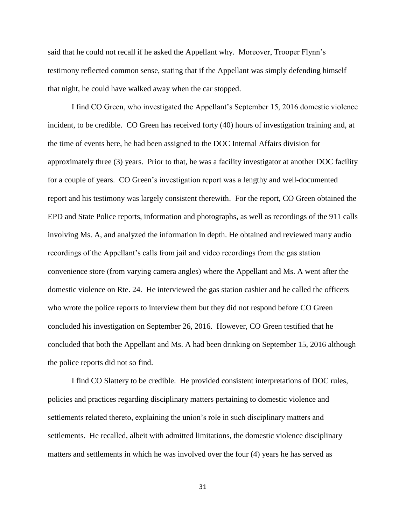said that he could not recall if he asked the Appellant why. Moreover, Trooper Flynn's testimony reflected common sense, stating that if the Appellant was simply defending himself that night, he could have walked away when the car stopped.

I find CO Green, who investigated the Appellant's September 15, 2016 domestic violence incident, to be credible. CO Green has received forty (40) hours of investigation training and, at the time of events here, he had been assigned to the DOC Internal Affairs division for approximately three (3) years. Prior to that, he was a facility investigator at another DOC facility for a couple of years. CO Green's investigation report was a lengthy and well-documented report and his testimony was largely consistent therewith. For the report, CO Green obtained the EPD and State Police reports, information and photographs, as well as recordings of the 911 calls involving Ms. A, and analyzed the information in depth. He obtained and reviewed many audio recordings of the Appellant's calls from jail and video recordings from the gas station convenience store (from varying camera angles) where the Appellant and Ms. A went after the domestic violence on Rte. 24. He interviewed the gas station cashier and he called the officers who wrote the police reports to interview them but they did not respond before CO Green concluded his investigation on September 26, 2016. However, CO Green testified that he concluded that both the Appellant and Ms. A had been drinking on September 15, 2016 although the police reports did not so find.

I find CO Slattery to be credible. He provided consistent interpretations of DOC rules, policies and practices regarding disciplinary matters pertaining to domestic violence and settlements related thereto, explaining the union's role in such disciplinary matters and settlements. He recalled, albeit with admitted limitations, the domestic violence disciplinary matters and settlements in which he was involved over the four (4) years he has served as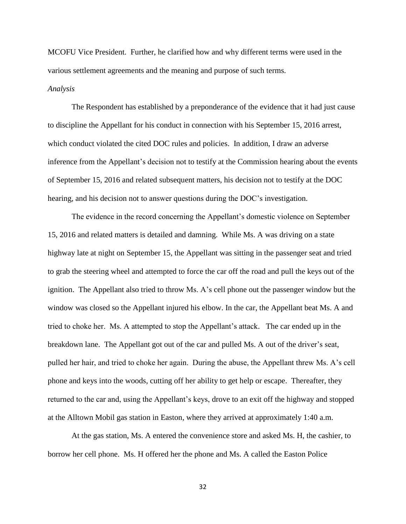MCOFU Vice President. Further, he clarified how and why different terms were used in the various settlement agreements and the meaning and purpose of such terms.

#### *Analysis*

The Respondent has established by a preponderance of the evidence that it had just cause to discipline the Appellant for his conduct in connection with his September 15, 2016 arrest, which conduct violated the cited DOC rules and policies. In addition, I draw an adverse inference from the Appellant's decision not to testify at the Commission hearing about the events of September 15, 2016 and related subsequent matters, his decision not to testify at the DOC hearing, and his decision not to answer questions during the DOC's investigation.

The evidence in the record concerning the Appellant's domestic violence on September 15, 2016 and related matters is detailed and damning. While Ms. A was driving on a state highway late at night on September 15, the Appellant was sitting in the passenger seat and tried to grab the steering wheel and attempted to force the car off the road and pull the keys out of the ignition. The Appellant also tried to throw Ms. A's cell phone out the passenger window but the window was closed so the Appellant injured his elbow. In the car, the Appellant beat Ms. A and tried to choke her. Ms. A attempted to stop the Appellant's attack. The car ended up in the breakdown lane. The Appellant got out of the car and pulled Ms. A out of the driver's seat, pulled her hair, and tried to choke her again. During the abuse, the Appellant threw Ms. A's cell phone and keys into the woods, cutting off her ability to get help or escape. Thereafter, they returned to the car and, using the Appellant's keys, drove to an exit off the highway and stopped at the Alltown Mobil gas station in Easton, where they arrived at approximately 1:40 a.m.

At the gas station, Ms. A entered the convenience store and asked Ms. H, the cashier, to borrow her cell phone. Ms. H offered her the phone and Ms. A called the Easton Police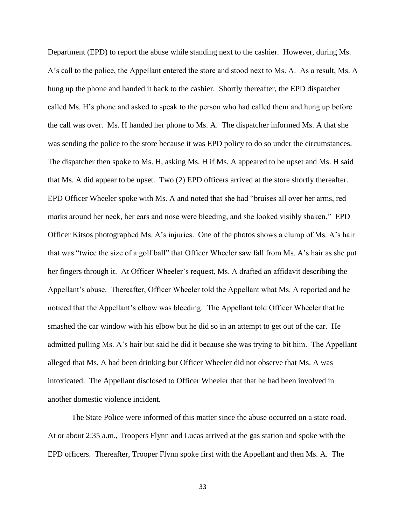Department (EPD) to report the abuse while standing next to the cashier. However, during Ms. A's call to the police, the Appellant entered the store and stood next to Ms. A. As a result, Ms. A hung up the phone and handed it back to the cashier. Shortly thereafter, the EPD dispatcher called Ms. H's phone and asked to speak to the person who had called them and hung up before the call was over. Ms. H handed her phone to Ms. A. The dispatcher informed Ms. A that she was sending the police to the store because it was EPD policy to do so under the circumstances. The dispatcher then spoke to Ms. H, asking Ms. H if Ms. A appeared to be upset and Ms. H said that Ms. A did appear to be upset. Two (2) EPD officers arrived at the store shortly thereafter. EPD Officer Wheeler spoke with Ms. A and noted that she had "bruises all over her arms, red marks around her neck, her ears and nose were bleeding, and she looked visibly shaken." EPD Officer Kitsos photographed Ms. A's injuries. One of the photos shows a clump of Ms. A's hair that was "twice the size of a golf ball" that Officer Wheeler saw fall from Ms. A's hair as she put her fingers through it. At Officer Wheeler's request, Ms. A drafted an affidavit describing the Appellant's abuse. Thereafter, Officer Wheeler told the Appellant what Ms. A reported and he noticed that the Appellant's elbow was bleeding. The Appellant told Officer Wheeler that he smashed the car window with his elbow but he did so in an attempt to get out of the car. He admitted pulling Ms. A's hair but said he did it because she was trying to bit him. The Appellant alleged that Ms. A had been drinking but Officer Wheeler did not observe that Ms. A was intoxicated. The Appellant disclosed to Officer Wheeler that that he had been involved in another domestic violence incident.

The State Police were informed of this matter since the abuse occurred on a state road. At or about 2:35 a.m., Troopers Flynn and Lucas arrived at the gas station and spoke with the EPD officers. Thereafter, Trooper Flynn spoke first with the Appellant and then Ms. A. The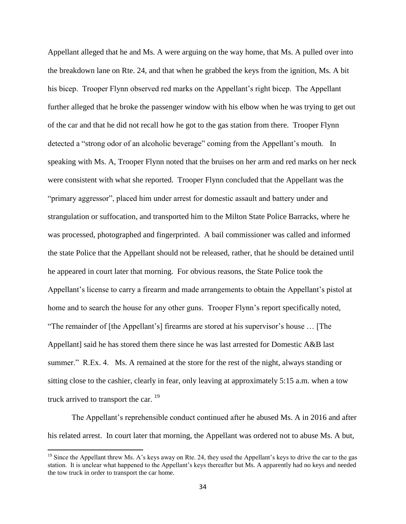Appellant alleged that he and Ms. A were arguing on the way home, that Ms. A pulled over into the breakdown lane on Rte. 24, and that when he grabbed the keys from the ignition, Ms. A bit his bicep. Trooper Flynn observed red marks on the Appellant's right bicep. The Appellant further alleged that he broke the passenger window with his elbow when he was trying to get out of the car and that he did not recall how he got to the gas station from there. Trooper Flynn detected a "strong odor of an alcoholic beverage" coming from the Appellant's mouth. In speaking with Ms. A, Trooper Flynn noted that the bruises on her arm and red marks on her neck were consistent with what she reported. Trooper Flynn concluded that the Appellant was the "primary aggressor", placed him under arrest for domestic assault and battery under and strangulation or suffocation, and transported him to the Milton State Police Barracks, where he was processed, photographed and fingerprinted. A bail commissioner was called and informed the state Police that the Appellant should not be released, rather, that he should be detained until he appeared in court later that morning. For obvious reasons, the State Police took the Appellant's license to carry a firearm and made arrangements to obtain the Appellant's pistol at home and to search the house for any other guns. Trooper Flynn's report specifically noted, "The remainder of [the Appellant's] firearms are stored at his supervisor's house … [The Appellant] said he has stored them there since he was last arrested for Domestic A&B last summer." R.Ex. 4. Ms. A remained at the store for the rest of the night, always standing or sitting close to the cashier, clearly in fear, only leaving at approximately 5:15 a.m. when a tow truck arrived to transport the car. <sup>19</sup>

The Appellant's reprehensible conduct continued after he abused Ms. A in 2016 and after his related arrest. In court later that morning, the Appellant was ordered not to abuse Ms. A but,

 $\overline{\phantom{a}}$ 

<sup>&</sup>lt;sup>19</sup> Since the Appellant threw Ms. A's keys away on Rte. 24, they used the Appellant's keys to drive the car to the gas station. It is unclear what happened to the Appellant's keys thereafter but Ms. A apparently had no keys and needed the tow truck in order to transport the car home.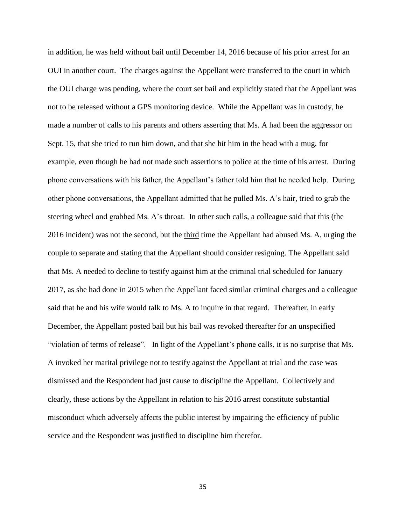in addition, he was held without bail until December 14, 2016 because of his prior arrest for an OUI in another court. The charges against the Appellant were transferred to the court in which the OUI charge was pending, where the court set bail and explicitly stated that the Appellant was not to be released without a GPS monitoring device. While the Appellant was in custody, he made a number of calls to his parents and others asserting that Ms. A had been the aggressor on Sept. 15, that she tried to run him down, and that she hit him in the head with a mug, for example, even though he had not made such assertions to police at the time of his arrest. During phone conversations with his father, the Appellant's father told him that he needed help. During other phone conversations, the Appellant admitted that he pulled Ms. A's hair, tried to grab the steering wheel and grabbed Ms. A's throat. In other such calls, a colleague said that this (the 2016 incident) was not the second, but the third time the Appellant had abused Ms. A, urging the couple to separate and stating that the Appellant should consider resigning. The Appellant said that Ms. A needed to decline to testify against him at the criminal trial scheduled for January 2017, as she had done in 2015 when the Appellant faced similar criminal charges and a colleague said that he and his wife would talk to Ms. A to inquire in that regard. Thereafter, in early December, the Appellant posted bail but his bail was revoked thereafter for an unspecified "violation of terms of release". In light of the Appellant's phone calls, it is no surprise that Ms. A invoked her marital privilege not to testify against the Appellant at trial and the case was dismissed and the Respondent had just cause to discipline the Appellant. Collectively and clearly, these actions by the Appellant in relation to his 2016 arrest constitute substantial misconduct which adversely affects the public interest by impairing the efficiency of public service and the Respondent was justified to discipline him therefor.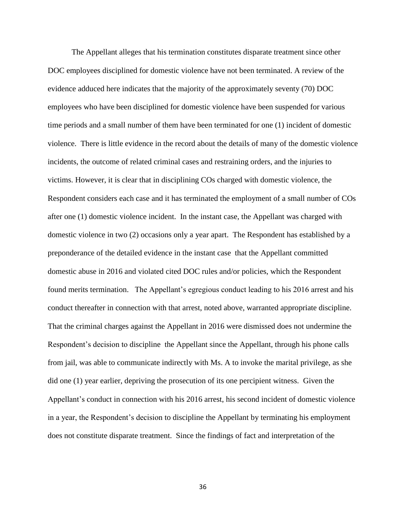The Appellant alleges that his termination constitutes disparate treatment since other DOC employees disciplined for domestic violence have not been terminated. A review of the evidence adduced here indicates that the majority of the approximately seventy (70) DOC employees who have been disciplined for domestic violence have been suspended for various time periods and a small number of them have been terminated for one (1) incident of domestic violence. There is little evidence in the record about the details of many of the domestic violence incidents, the outcome of related criminal cases and restraining orders, and the injuries to victims. However, it is clear that in disciplining COs charged with domestic violence, the Respondent considers each case and it has terminated the employment of a small number of COs after one (1) domestic violence incident. In the instant case, the Appellant was charged with domestic violence in two (2) occasions only a year apart. The Respondent has established by a preponderance of the detailed evidence in the instant case that the Appellant committed domestic abuse in 2016 and violated cited DOC rules and/or policies, which the Respondent found merits termination. The Appellant's egregious conduct leading to his 2016 arrest and his conduct thereafter in connection with that arrest, noted above, warranted appropriate discipline. That the criminal charges against the Appellant in 2016 were dismissed does not undermine the Respondent's decision to discipline the Appellant since the Appellant, through his phone calls from jail, was able to communicate indirectly with Ms. A to invoke the marital privilege, as she did one (1) year earlier, depriving the prosecution of its one percipient witness. Given the Appellant's conduct in connection with his 2016 arrest, his second incident of domestic violence in a year, the Respondent's decision to discipline the Appellant by terminating his employment does not constitute disparate treatment. Since the findings of fact and interpretation of the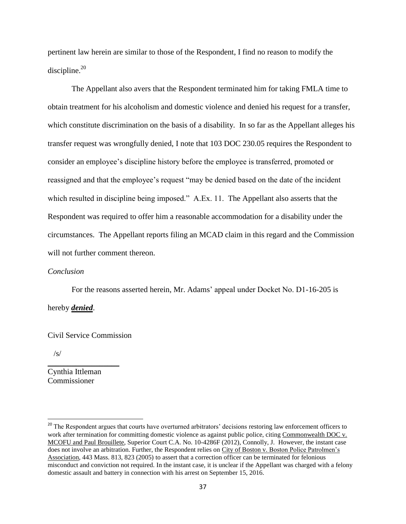pertinent law herein are similar to those of the Respondent, I find no reason to modify the discipline. $^{20}$ 

The Appellant also avers that the Respondent terminated him for taking FMLA time to obtain treatment for his alcoholism and domestic violence and denied his request for a transfer, which constitute discrimination on the basis of a disability. In so far as the Appellant alleges his transfer request was wrongfully denied, I note that 103 DOC 230.05 requires the Respondent to consider an employee's discipline history before the employee is transferred, promoted or reassigned and that the employee's request "may be denied based on the date of the incident which resulted in discipline being imposed." A.Ex. 11. The Appellant also asserts that the Respondent was required to offer him a reasonable accommodation for a disability under the circumstances. The Appellant reports filing an MCAD claim in this regard and the Commission will not further comment thereon.

### *Conclusion*

For the reasons asserted herein, Mr. Adams' appeal under Docket No. D1-16-205 is hereby *denied*.

### Civil Service Commission

 $\_$ 

/s/

 $\overline{\phantom{a}}$ 

Cynthia Ittleman Commissioner

<sup>&</sup>lt;sup>20</sup> The Respondent argues that courts have overturned arbitrators' decisions restoring law enforcement officers to work after termination for committing domestic violence as against public police, citing Commonwealth DOC v. MCOFU and Paul Brouillete, Superior Court C.A. No. 10-4286F (2012), Connolly, J. However, the instant case does not involve an arbitration. Further, the Respondent relies on City of Boston v. Boston Police Patrolmen's Association, 443 Mass. 813, 823 (2005) to assert that a correction officer can be terminated for felonious misconduct and conviction not required. In the instant case, it is unclear if the Appellant was charged with a felony domestic assault and battery in connection with his arrest on September 15, 2016.